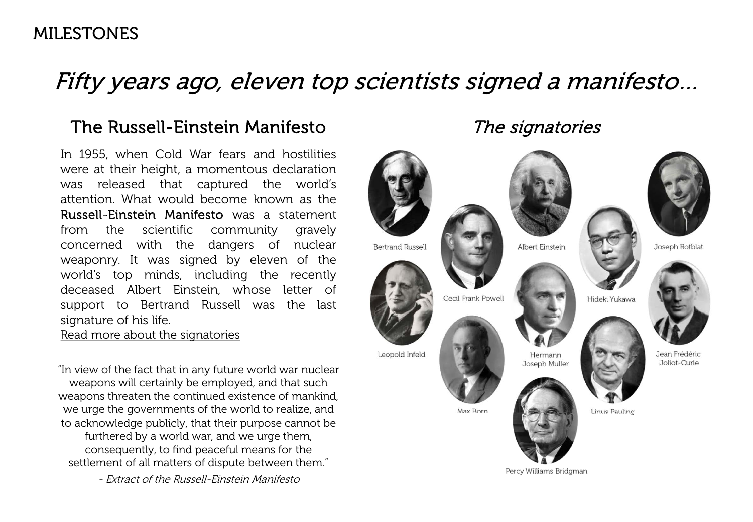## Fifty years ago, eleven top scientists signed a manifesto…

## The Russell-Einstein Manifesto

In 1955, when Cold War fears and hostilities were at their height, a momentous declaration was released that captured the world's attention. What would become known as the Russell-Einstein Manifesto was a statement from the scientific community gravely concerned with the dangers of nuclear weaponry. It was signed by eleven of the world's top minds, including the recently deceased Albert Einstein, whose letter of support to Bertrand Russell was the last signature of his life.

[Read more about the signatories](http://pamwrighticthelp.com/wpdev1/wp-content/uploads/2015/02/History%20Russell%20Einstein%20signatories.pdf) 

"In view of the fact that in any future world war nuclear weapons will certainly be employed, and that such weapons threaten the continued existence of mankind, we urge the governments of the world to realize, and to acknowledge publicly, that their purpose cannot be furthered by a world war, and we urge them, consequently, to find peaceful means for the settlement of all matters of dispute between them."

- Extract of the Russell-Einstein Manifesto

The signatories